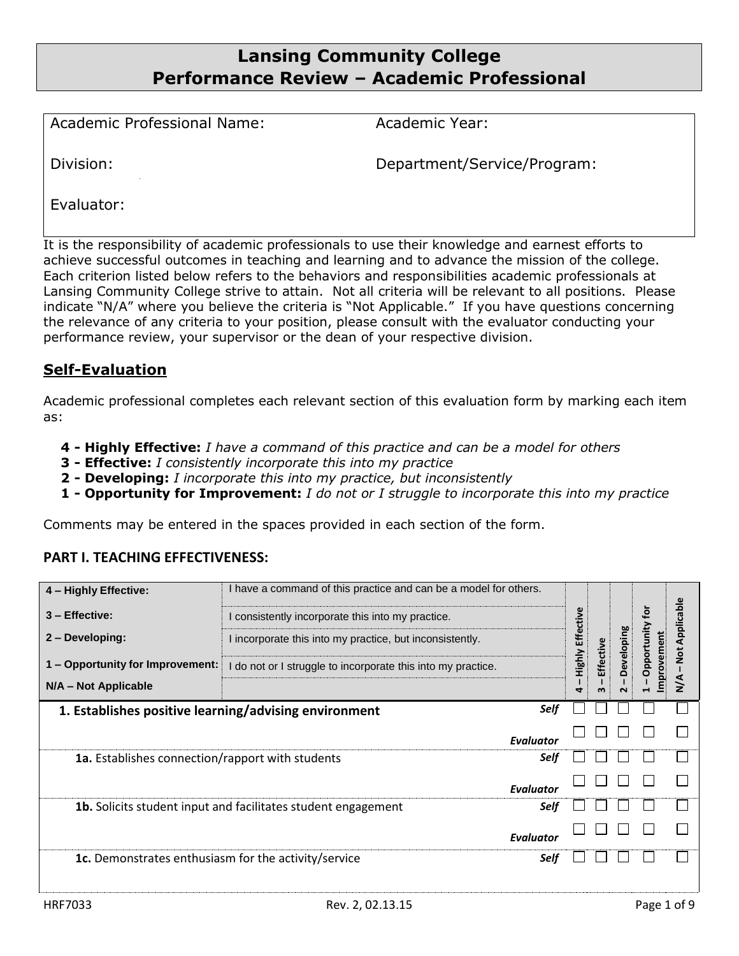# **Lansing Community College Performance Review – Academic Professional**

Academic Professional Name: Academic Year:

Division: Department/Service/Program:

Evaluator:

It is the responsibility of academic professionals to use their knowledge and earnest efforts to achieve successful outcomes in teaching and learning and to advance the mission of the college. Each criterion listed below refers to the behaviors and responsibilities academic professionals at Lansing Community College strive to attain. Not all criteria will be relevant to all positions. Please indicate "N/A" where you believe the criteria is "Not Applicable." If you have questions concerning the relevance of any criteria to your position, please consult with the evaluator conducting your performance review, your supervisor or the dean of your respective division.

## **Self-Evaluation**

Academic professional completes each relevant section of this evaluation form by marking each item as:

- **4 - Highly Effective:** *I have a command of this practice and can be a model for others*
- **3 - Effective:** *I consistently incorporate this into my practice*
- **2 - Developing:** *I incorporate this into my practice, but inconsistently*
- **1 - Opportunity for Improvement:** *I do not or I struggle to incorporate this into my practice*

Comments may be entered in the spaces provided in each section of the form.

#### **PART I. TEACHING EFFECTIVENESS:**

| 4 - Highly Effective:<br>$3 -$ Effective:<br>2 - Developing:<br>1 – Opportunity for Improvement:<br>N/A - Not Applicable | I have a command of this practice and can be a model for others.<br>I consistently incorporate this into my practice.<br>I incorporate this into my practice, but inconsistently.<br>I do not or I struggle to incorporate this into my practice. |                  | <b>Highly Effectiv</b><br>4 | Effective<br>m | Developing<br>$\sim$ | ⊋<br>tunit<br>ment<br>Oppo<br>ΓŌ | Applicable<br><b>Not</b><br>z |
|--------------------------------------------------------------------------------------------------------------------------|---------------------------------------------------------------------------------------------------------------------------------------------------------------------------------------------------------------------------------------------------|------------------|-----------------------------|----------------|----------------------|----------------------------------|-------------------------------|
| 1. Establishes positive learning/advising environment                                                                    |                                                                                                                                                                                                                                                   | Self             |                             |                |                      |                                  |                               |
|                                                                                                                          |                                                                                                                                                                                                                                                   | <b>Evaluator</b> |                             |                |                      |                                  |                               |
| 1a. Establishes connection/rapport with students                                                                         |                                                                                                                                                                                                                                                   | Self             |                             |                |                      |                                  |                               |
|                                                                                                                          |                                                                                                                                                                                                                                                   | <b>Evaluator</b> |                             |                |                      |                                  |                               |
|                                                                                                                          | <b>1b.</b> Solicits student input and facilitates student engagement                                                                                                                                                                              | Self             |                             |                |                      |                                  |                               |
|                                                                                                                          |                                                                                                                                                                                                                                                   | <b>Evaluator</b> |                             |                |                      |                                  |                               |
| 1c. Demonstrates enthusiasm for the activity/service                                                                     |                                                                                                                                                                                                                                                   | Self             |                             |                |                      |                                  |                               |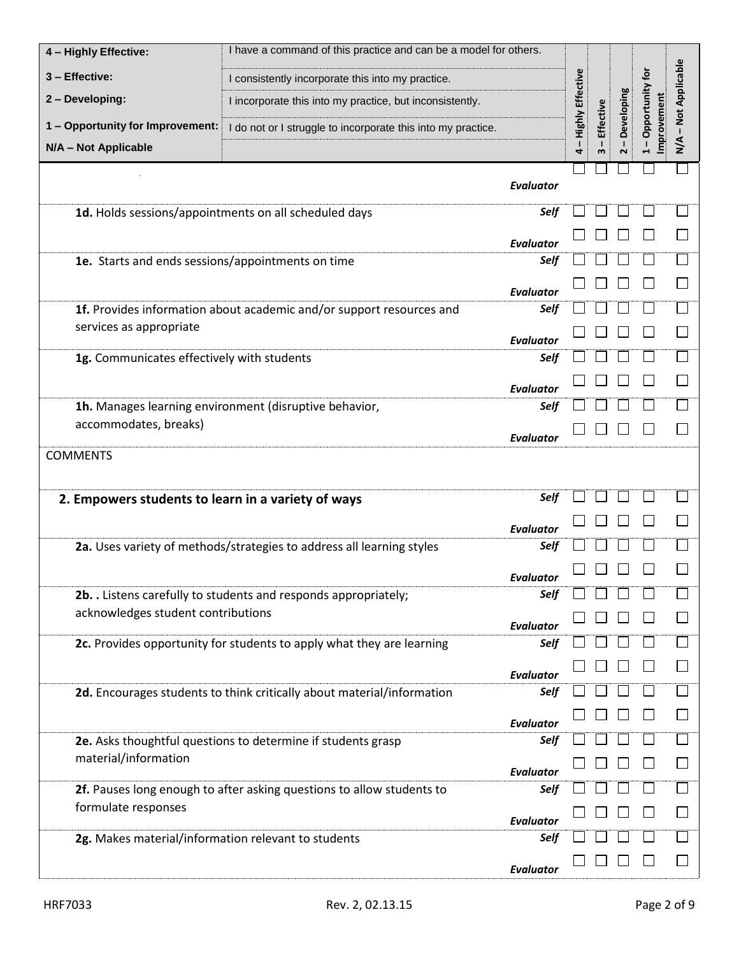| 4 - Highly Effective:                               | I have a command of this practice and can be a model for others.       |                          |                    |                                  |                        |                 |                  |
|-----------------------------------------------------|------------------------------------------------------------------------|--------------------------|--------------------|----------------------------------|------------------------|-----------------|------------------|
| 3 - Effective:                                      | I consistently incorporate this into my practice.                      |                          |                    |                                  |                        |                 |                  |
| 2 - Developing:                                     | I incorporate this into my practice, but inconsistently.               |                          | - Highly Effective |                                  | Developing             | Opportunity for | - Not Applicable |
| 1 - Opportunity for Improvement:                    | I do not or I struggle to incorporate this into my practice.           |                          |                    | Effective                        |                        | Improvement     |                  |
| N/A - Not Applicable                                |                                                                        |                          | 4                  | $\mathbf{I}$<br>$\boldsymbol{m}$ | $\mathbf{I}$<br>$\sim$ |                 | $\sum_{i=1}^{n}$ |
|                                                     |                                                                        |                          |                    |                                  |                        |                 |                  |
|                                                     |                                                                        | <b>Evaluator</b>         |                    |                                  |                        |                 |                  |
|                                                     | 1d. Holds sessions/appointments on all scheduled days                  | Self                     |                    |                                  |                        |                 |                  |
|                                                     |                                                                        | Evaluator                |                    |                                  |                        |                 |                  |
| 1e. Starts and ends sessions/appointments on time   |                                                                        | Self                     |                    |                                  |                        |                 |                  |
|                                                     |                                                                        | <b>Evaluator</b>         |                    |                                  |                        |                 |                  |
|                                                     | 1f. Provides information about academic and/or support resources and   | Self                     |                    |                                  |                        |                 |                  |
| services as appropriate                             |                                                                        | <b>Evaluator</b>         |                    |                                  |                        |                 |                  |
| 1g. Communicates effectively with students          |                                                                        | Self                     |                    |                                  |                        |                 |                  |
|                                                     |                                                                        | Evaluator                |                    |                                  |                        |                 |                  |
|                                                     | 1h. Manages learning environment (disruptive behavior,                 | Self                     |                    |                                  |                        |                 |                  |
| accommodates, breaks)                               |                                                                        | <b>Evaluator</b>         |                    |                                  |                        |                 |                  |
| <b>COMMENTS</b>                                     |                                                                        |                          |                    |                                  |                        |                 |                  |
|                                                     |                                                                        |                          |                    |                                  |                        |                 |                  |
| 2. Empowers students to learn in a variety of ways  |                                                                        | Self                     |                    |                                  |                        |                 |                  |
|                                                     |                                                                        | <b>Evaluator</b>         |                    |                                  |                        |                 |                  |
|                                                     | 2a. Uses variety of methods/strategies to address all learning styles  | Self                     |                    |                                  |                        |                 |                  |
|                                                     |                                                                        | <b>Evaluator</b>         |                    |                                  |                        |                 |                  |
|                                                     | 2b. . Listens carefully to students and responds appropriately;        | Self                     |                    |                                  |                        |                 |                  |
| acknowledges student contributions                  |                                                                        |                          |                    |                                  |                        |                 |                  |
|                                                     | 2c. Provides opportunity for students to apply what they are learning  | <b>Evaluator</b><br>Self |                    |                                  |                        |                 |                  |
|                                                     |                                                                        |                          |                    |                                  |                        |                 |                  |
|                                                     | 2d. Encourages students to think critically about material/information | <b>Evaluator</b><br>Self |                    |                                  |                        |                 |                  |
|                                                     |                                                                        |                          |                    |                                  |                        |                 |                  |
|                                                     |                                                                        | <b>Evaluator</b><br>Self |                    |                                  |                        |                 |                  |
| material/information                                | 2e. Asks thoughtful questions to determine if students grasp           |                          |                    |                                  |                        |                 |                  |
|                                                     |                                                                        | <b>Evaluator</b>         |                    |                                  |                        |                 |                  |
| formulate responses                                 | 2f. Pauses long enough to after asking questions to allow students to  | Self                     |                    |                                  |                        |                 |                  |
|                                                     |                                                                        | <b>Evaluator</b>         |                    |                                  |                        |                 |                  |
| 2g. Makes material/information relevant to students |                                                                        | Self                     |                    |                                  |                        |                 |                  |
|                                                     |                                                                        | <b>Evaluator</b>         |                    |                                  |                        |                 |                  |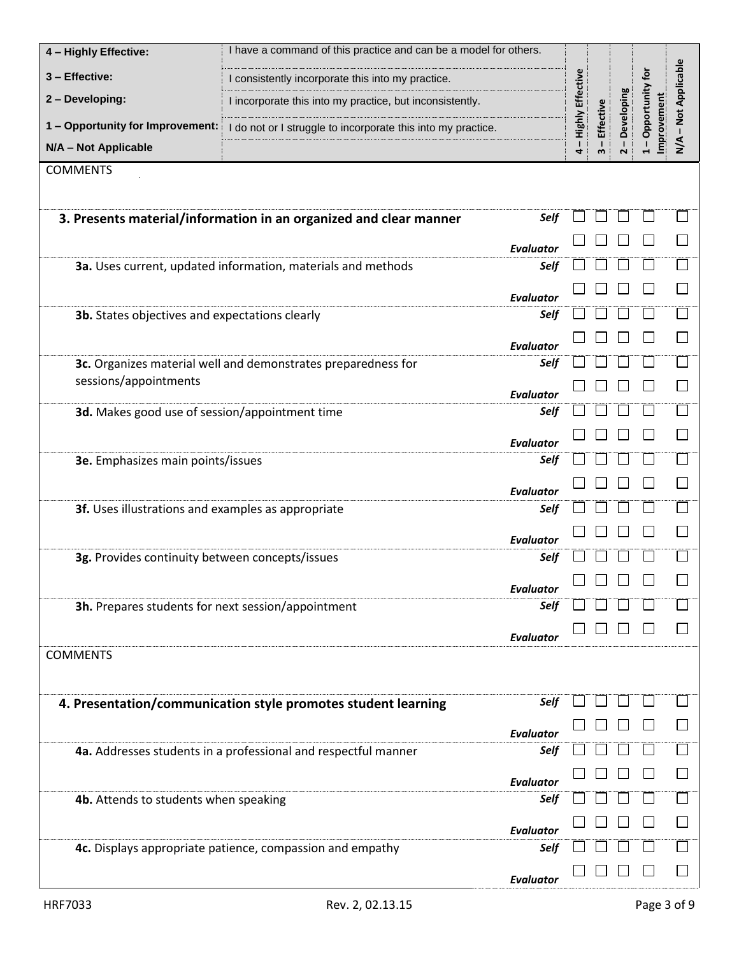| 4 - Highly Effective:                              | I have a command of this practice and can be a model for others.  |                          |                    |                  |                                      |                                |                  |
|----------------------------------------------------|-------------------------------------------------------------------|--------------------------|--------------------|------------------|--------------------------------------|--------------------------------|------------------|
| 3 - Effective:                                     | I consistently incorporate this into my practice.                 |                          |                    |                  |                                      |                                |                  |
| 2 - Developing:                                    | I incorporate this into my practice, but inconsistently.          |                          |                    |                  |                                      |                                | - Not Applicable |
| 1 - Opportunity for Improvement:                   | I do not or I struggle to incorporate this into my practice.      |                          | - Highly Effective | <b>Effective</b> | Developing                           | Opportunity for<br>Improvement |                  |
| N/A - Not Applicable                               |                                                                   |                          | 4                  | w                | $\mathbf{I}$<br>$\mathbf{\tilde{z}}$ | т                              | $\frac{4}{2}$    |
| <b>COMMENTS</b>                                    |                                                                   |                          |                    |                  |                                      |                                |                  |
|                                                    |                                                                   |                          |                    |                  |                                      |                                |                  |
|                                                    | 3. Presents material/information in an organized and clear manner | Self                     |                    |                  |                                      |                                |                  |
|                                                    |                                                                   | Evaluator                |                    |                  |                                      |                                |                  |
|                                                    | 3a. Uses current, updated information, materials and methods      | Self                     |                    |                  |                                      |                                |                  |
|                                                    |                                                                   | Evaluator                |                    |                  |                                      |                                |                  |
| 3b. States objectives and expectations clearly     |                                                                   | Self                     |                    |                  |                                      |                                |                  |
|                                                    |                                                                   | Evaluator                |                    |                  |                                      |                                |                  |
|                                                    | 3c. Organizes material well and demonstrates preparedness for     | Self                     |                    |                  |                                      |                                |                  |
| sessions/appointments                              |                                                                   | <b>Evaluator</b>         |                    |                  |                                      |                                |                  |
| 3d. Makes good use of session/appointment time     |                                                                   | Self                     |                    |                  |                                      |                                |                  |
|                                                    |                                                                   | Evaluator                |                    |                  |                                      |                                |                  |
| 3e. Emphasizes main points/issues                  |                                                                   | Self                     |                    |                  |                                      |                                |                  |
|                                                    |                                                                   | <b>Evaluator</b>         |                    |                  |                                      |                                |                  |
| 3f. Uses illustrations and examples as appropriate |                                                                   | Self                     |                    |                  |                                      |                                |                  |
|                                                    |                                                                   | Evaluator                |                    |                  |                                      |                                |                  |
| 3g. Provides continuity between concepts/issues    |                                                                   | Self                     |                    |                  |                                      |                                |                  |
|                                                    |                                                                   |                          |                    |                  |                                      |                                |                  |
| 3h. Prepares students for next session/appointment |                                                                   | <b>Evaluator</b><br>Self |                    |                  |                                      |                                |                  |
|                                                    |                                                                   |                          |                    |                  |                                      |                                |                  |
| <b>COMMENTS</b>                                    |                                                                   | <b>Evaluator</b>         |                    |                  |                                      |                                |                  |
|                                                    |                                                                   |                          |                    |                  |                                      |                                |                  |
|                                                    | 4. Presentation/communication style promotes student learning     | Self                     |                    |                  |                                      |                                |                  |
|                                                    |                                                                   |                          |                    |                  |                                      |                                |                  |
|                                                    | 4a. Addresses students in a professional and respectful manner    | <b>Evaluator</b><br>Self |                    |                  |                                      |                                |                  |
|                                                    |                                                                   |                          |                    |                  |                                      |                                |                  |
| 4b. Attends to students when speaking              |                                                                   | <b>Evaluator</b><br>Self |                    |                  |                                      |                                |                  |
|                                                    |                                                                   |                          |                    |                  |                                      |                                |                  |
|                                                    | 4c. Displays appropriate patience, compassion and empathy         | <b>Evaluator</b><br>Self |                    |                  |                                      |                                |                  |
|                                                    |                                                                   |                          |                    |                  |                                      |                                |                  |
|                                                    |                                                                   | <b>Evaluator</b>         |                    |                  |                                      |                                |                  |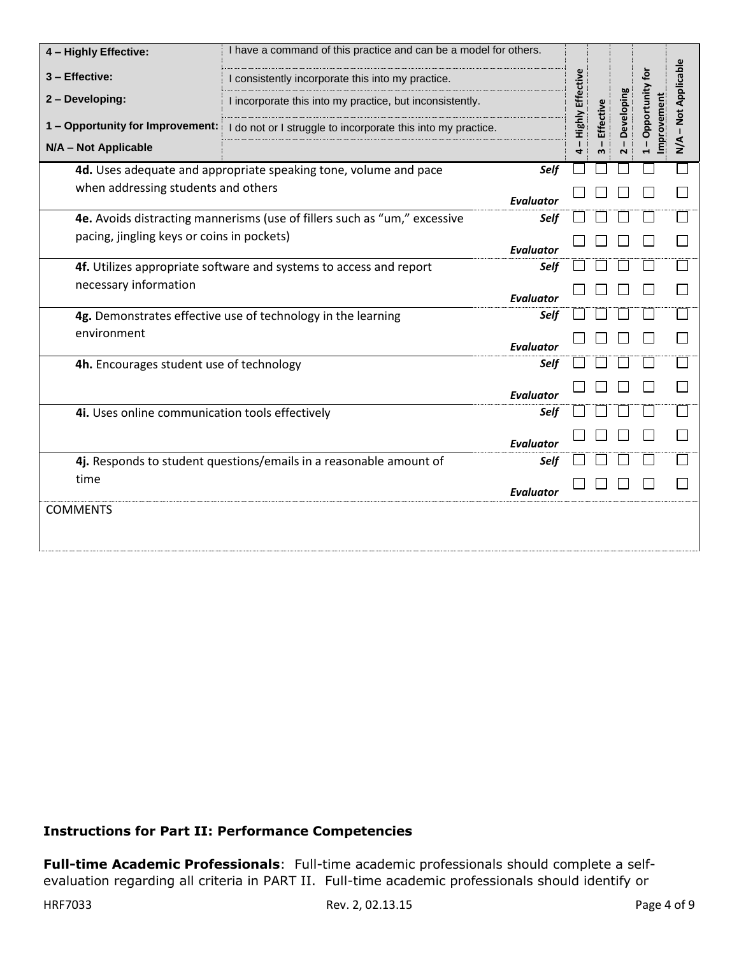| 4 - Highly Effective:                                              | I have a command of this practice and can be a model for others.          |                  |                         |           |            |                               |                  |
|--------------------------------------------------------------------|---------------------------------------------------------------------------|------------------|-------------------------|-----------|------------|-------------------------------|------------------|
| 3 - Effective:                                                     | I consistently incorporate this into my practice.                         |                  |                         |           |            |                               |                  |
| 2 - Developing:                                                    | I incorporate this into my practice, but inconsistently.                  |                  | <b>Highly Effective</b> |           | Developing | Opportunity for<br>mprovement | - Not Applicable |
| 1 - Opportunity for Improvement:                                   | I do not or I struggle to incorporate this into my practice.              |                  |                         | Effective |            |                               |                  |
| N/A - Not Applicable                                               |                                                                           |                  | 4                       |           |            |                               | $\sum_{i=1}^{n}$ |
|                                                                    | 4d. Uses adequate and appropriate speaking tone, volume and pace          | Self             |                         |           |            |                               |                  |
| when addressing students and others                                |                                                                           | <b>Evaluator</b> |                         |           |            |                               |                  |
|                                                                    | 4e. Avoids distracting mannerisms (use of fillers such as "um," excessive | Self             |                         |           |            |                               |                  |
| pacing, jingling keys or coins in pockets)                         |                                                                           | <b>Evaluator</b> |                         |           |            |                               |                  |
|                                                                    | 4f. Utilizes appropriate software and systems to access and report        | Self             |                         |           |            |                               |                  |
| necessary information                                              |                                                                           | <b>Evaluator</b> |                         |           |            |                               |                  |
|                                                                    | 4g. Demonstrates effective use of technology in the learning              | Self             |                         |           |            |                               |                  |
| environment                                                        |                                                                           | Evaluator        |                         |           |            |                               |                  |
| 4h. Encourages student use of technology                           |                                                                           | Self             |                         |           |            |                               |                  |
|                                                                    |                                                                           | Evaluator        |                         |           |            |                               |                  |
| 4i. Uses online communication tools effectively                    |                                                                           | Self             |                         |           |            |                               |                  |
|                                                                    |                                                                           | Evaluator        |                         |           |            |                               |                  |
| 4j. Responds to student questions/emails in a reasonable amount of |                                                                           | Self             |                         |           |            |                               |                  |
| time                                                               |                                                                           | <b>Evaluator</b> |                         |           |            |                               |                  |
| <b>COMMENTS</b>                                                    |                                                                           |                  |                         |           |            |                               |                  |

## **Instructions for Part II: Performance Competencies**

**Full-time Academic Professionals**: Full-time academic professionals should complete a selfevaluation regarding all criteria in PART II. Full-time academic professionals should identify or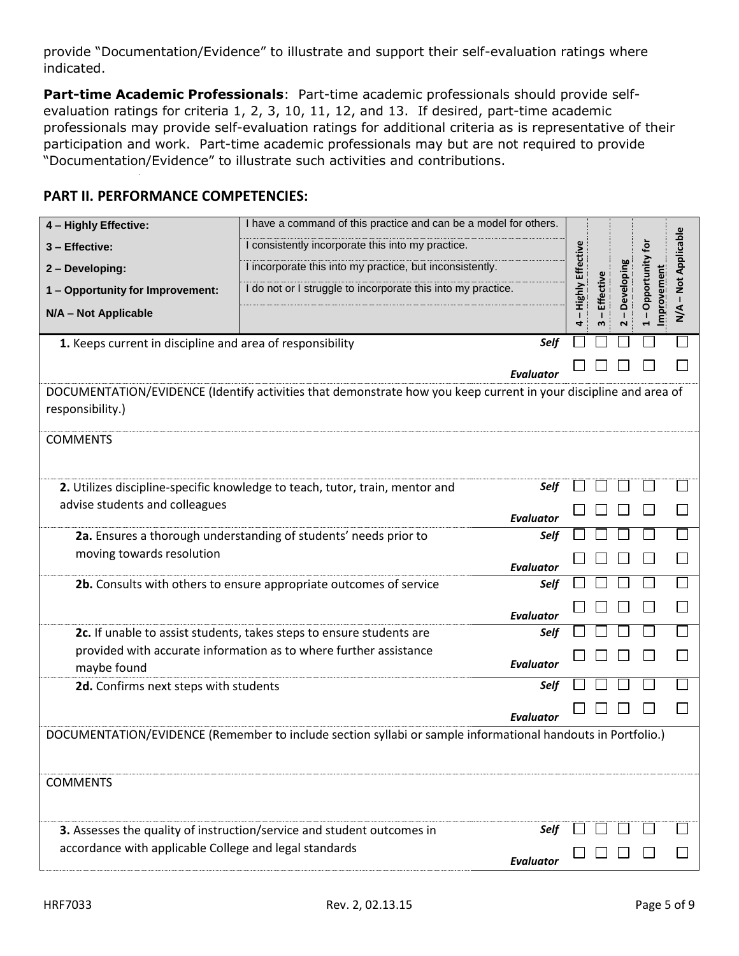provide "Documentation/Evidence" to illustrate and support their self-evaluation ratings where indicated.

**Part-time Academic Professionals**: Part-time academic professionals should provide selfevaluation ratings for criteria 1, 2, 3, 10, 11, 12, and 13. If desired, part-time academic professionals may provide self-evaluation ratings for additional criteria as is representative of their participation and work. Part-time academic professionals may but are not required to provide "Documentation/Evidence" to illustrate such activities and contributions.

#### **PART II. PERFORMANCE COMPETENCIES:**

| 4 - Highly Effective:                                                                                                                | I have a command of this practice and can be a model for others.                                            |           |                         |           |                                       |             |                |
|--------------------------------------------------------------------------------------------------------------------------------------|-------------------------------------------------------------------------------------------------------------|-----------|-------------------------|-----------|---------------------------------------|-------------|----------------|
| 3 - Effective:                                                                                                                       | I consistently incorporate this into my practice.                                                           |           |                         |           |                                       | tōr         |                |
| 2 - Developing:                                                                                                                      | I incorporate this into my practice, but inconsistently.                                                    |           | <b>Highly Effective</b> |           |                                       | Opportunity | Not Applicable |
| 1 - Opportunity for Improvement:                                                                                                     | I do not or I struggle to incorporate this into my practice.                                                |           |                         | Effective | Developing                            |             |                |
| N/A - Not Applicable                                                                                                                 |                                                                                                             |           | 4                       | ω         | $\mathbf{I}$<br>$\mathbf{\mathsf{N}}$ | mprovement  | ⋖<br>≩         |
| 1. Keeps current in discipline and area of responsibility                                                                            |                                                                                                             | Self      |                         |           |                                       |             |                |
|                                                                                                                                      |                                                                                                             | Evaluator |                         |           |                                       |             |                |
| DOCUMENTATION/EVIDENCE (Identify activities that demonstrate how you keep current in your discipline and area of<br>responsibility.) |                                                                                                             |           |                         |           |                                       |             |                |
| <b>COMMENTS</b>                                                                                                                      |                                                                                                             |           |                         |           |                                       |             |                |
|                                                                                                                                      | 2. Utilizes discipline-specific knowledge to teach, tutor, train, mentor and                                | Self      |                         |           |                                       |             |                |
| advise students and colleagues                                                                                                       |                                                                                                             | Evaluator |                         |           |                                       |             |                |
|                                                                                                                                      | 2a. Ensures a thorough understanding of students' needs prior to                                            | Self      |                         |           |                                       |             |                |
| moving towards resolution                                                                                                            |                                                                                                             | Evaluator |                         |           |                                       |             |                |
|                                                                                                                                      | 2b. Consults with others to ensure appropriate outcomes of service                                          | Self      |                         |           |                                       |             |                |
|                                                                                                                                      |                                                                                                             | Evaluator |                         |           |                                       |             |                |
|                                                                                                                                      | 2c. If unable to assist students, takes steps to ensure students are                                        | Self      |                         |           |                                       |             |                |
| maybe found                                                                                                                          | provided with accurate information as to where further assistance                                           | Evaluator |                         |           |                                       |             |                |
| 2d. Confirms next steps with students                                                                                                |                                                                                                             | Self      |                         |           |                                       |             |                |
|                                                                                                                                      |                                                                                                             | Evaluator |                         |           |                                       |             |                |
|                                                                                                                                      | DOCUMENTATION/EVIDENCE (Remember to include section syllabi or sample informational handouts in Portfolio.) |           |                         |           |                                       |             |                |
| <b>COMMENTS</b>                                                                                                                      |                                                                                                             |           |                         |           |                                       |             |                |
|                                                                                                                                      | 3. Assesses the quality of instruction/service and student outcomes in                                      | Self      |                         |           |                                       |             |                |
| accordance with applicable College and legal standards                                                                               |                                                                                                             | Evaluator |                         |           |                                       |             |                |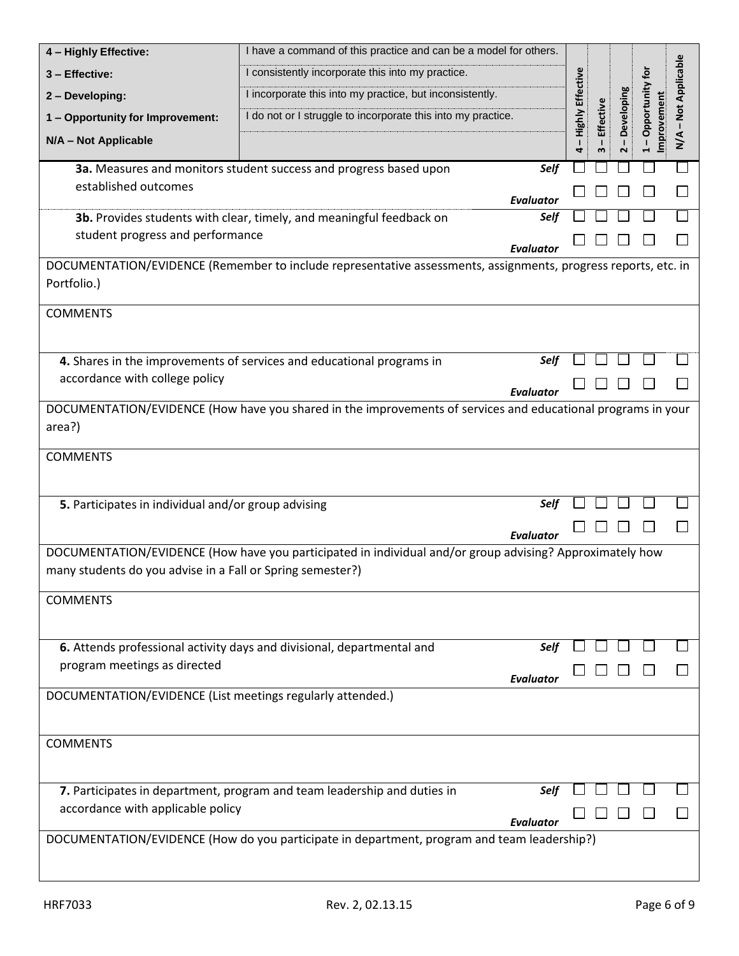| 4 - Highly Effective:                                                                                                                                                  | I have a command of this practice and can be a model for others.                                               |                  |                   |                                  |              |                            |                  |
|------------------------------------------------------------------------------------------------------------------------------------------------------------------------|----------------------------------------------------------------------------------------------------------------|------------------|-------------------|----------------------------------|--------------|----------------------------|------------------|
| 3 - Effective:                                                                                                                                                         | I consistently incorporate this into my practice.                                                              |                  |                   |                                  |              |                            |                  |
| 2 - Developing:                                                                                                                                                        | I incorporate this into my practice, but inconsistently.                                                       |                  |                   |                                  |              |                            |                  |
| 1 - Opportunity for Improvement:                                                                                                                                       | I do not or I struggle to incorporate this into my practice.                                                   |                  | Highly Effective  | Effective                        | - Developing | Opportunity for            | - Not Applicable |
| N/A - Not Applicable                                                                                                                                                   |                                                                                                                |                  | $\mathbf{I}$<br>4 | $\mathbf{I}$<br>$\boldsymbol{m}$ | $\sim$       | Improvement<br>$\mathbf I$ | $\frac{4}{2}$    |
|                                                                                                                                                                        | 3a. Measures and monitors student success and progress based upon                                              | Self             |                   |                                  |              |                            |                  |
| established outcomes                                                                                                                                                   |                                                                                                                | Evaluator        |                   |                                  |              |                            |                  |
|                                                                                                                                                                        | 3b. Provides students with clear, timely, and meaningful feedback on                                           | Self             |                   |                                  |              |                            |                  |
| student progress and performance<br>Evaluator                                                                                                                          |                                                                                                                |                  |                   |                                  |              |                            |                  |
|                                                                                                                                                                        | DOCUMENTATION/EVIDENCE (Remember to include representative assessments, assignments, progress reports, etc. in |                  |                   |                                  |              |                            |                  |
| Portfolio.)                                                                                                                                                            |                                                                                                                |                  |                   |                                  |              |                            |                  |
| <b>COMMENTS</b>                                                                                                                                                        |                                                                                                                |                  |                   |                                  |              |                            |                  |
|                                                                                                                                                                        |                                                                                                                |                  |                   |                                  |              |                            |                  |
|                                                                                                                                                                        | 4. Shares in the improvements of services and educational programs in                                          | Self             |                   |                                  |              |                            |                  |
| accordance with college policy                                                                                                                                         |                                                                                                                |                  |                   |                                  |              |                            |                  |
|                                                                                                                                                                        | DOCUMENTATION/EVIDENCE (How have you shared in the improvements of services and educational programs in your   | <b>Evaluator</b> |                   |                                  |              |                            |                  |
| area?)                                                                                                                                                                 |                                                                                                                |                  |                   |                                  |              |                            |                  |
| <b>COMMENTS</b>                                                                                                                                                        |                                                                                                                |                  |                   |                                  |              |                            |                  |
|                                                                                                                                                                        |                                                                                                                |                  |                   |                                  |              |                            |                  |
|                                                                                                                                                                        |                                                                                                                | Self             |                   |                                  |              |                            |                  |
| 5. Participates in individual and/or group advising                                                                                                                    |                                                                                                                |                  |                   |                                  |              |                            |                  |
|                                                                                                                                                                        |                                                                                                                | <b>Evaluator</b> |                   |                                  |              |                            |                  |
| DOCUMENTATION/EVIDENCE (How have you participated in individual and/or group advising? Approximately how<br>many students do you advise in a Fall or Spring semester?) |                                                                                                                |                  |                   |                                  |              |                            |                  |
|                                                                                                                                                                        |                                                                                                                |                  |                   |                                  |              |                            |                  |
| <b>COMMENTS</b>                                                                                                                                                        |                                                                                                                |                  |                   |                                  |              |                            |                  |
|                                                                                                                                                                        |                                                                                                                |                  |                   |                                  |              |                            |                  |
|                                                                                                                                                                        | 6. Attends professional activity days and divisional, departmental and                                         | Self             |                   |                                  |              |                            |                  |
| program meetings as directed                                                                                                                                           |                                                                                                                | <b>Evaluator</b> |                   |                                  |              |                            |                  |
| DOCUMENTATION/EVIDENCE (List meetings regularly attended.)                                                                                                             |                                                                                                                |                  |                   |                                  |              |                            |                  |
|                                                                                                                                                                        |                                                                                                                |                  |                   |                                  |              |                            |                  |
| <b>COMMENTS</b>                                                                                                                                                        |                                                                                                                |                  |                   |                                  |              |                            |                  |
|                                                                                                                                                                        |                                                                                                                |                  |                   |                                  |              |                            |                  |
|                                                                                                                                                                        | 7. Participates in department, program and team leadership and duties in                                       | Self             |                   |                                  |              |                            |                  |
| accordance with applicable policy                                                                                                                                      |                                                                                                                | Evaluator        |                   |                                  |              |                            |                  |
|                                                                                                                                                                        | DOCUMENTATION/EVIDENCE (How do you participate in department, program and team leadership?)                    |                  |                   |                                  |              |                            |                  |
|                                                                                                                                                                        |                                                                                                                |                  |                   |                                  |              |                            |                  |
|                                                                                                                                                                        |                                                                                                                |                  |                   |                                  |              |                            |                  |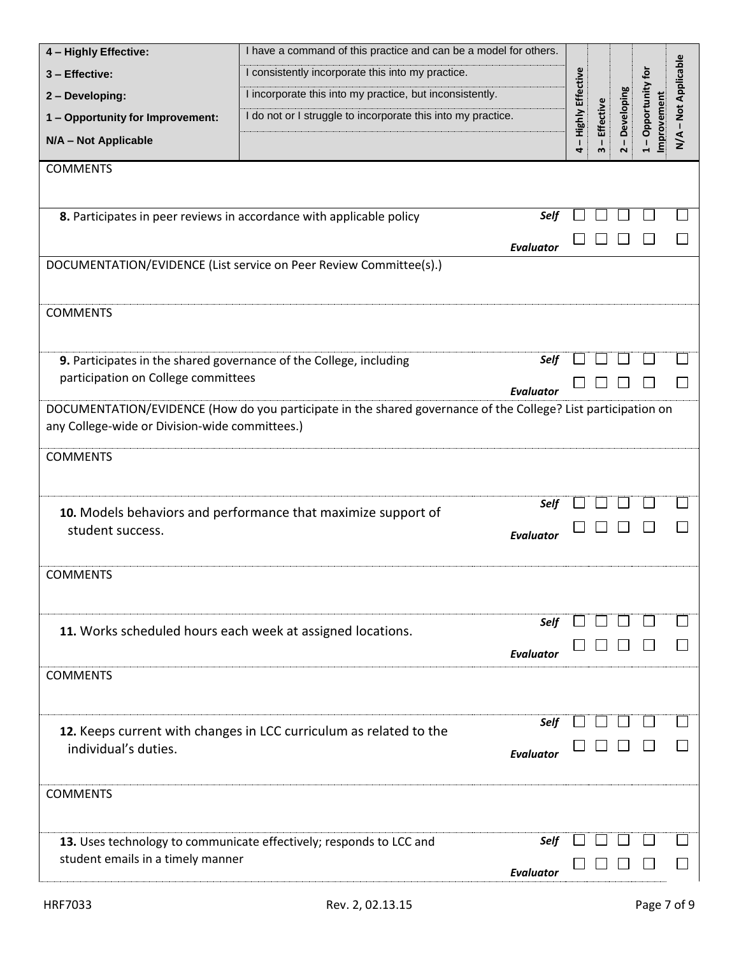| 4 - Highly Effective:                          | I have a command of this practice and can be a model for others.                                                                                                              |                  |                         |                                |              |                               |                  |
|------------------------------------------------|-------------------------------------------------------------------------------------------------------------------------------------------------------------------------------|------------------|-------------------------|--------------------------------|--------------|-------------------------------|------------------|
| 3 - Effective:                                 | I consistently incorporate this into my practice.<br>I incorporate this into my practice, but inconsistently.<br>I do not or I struggle to incorporate this into my practice. |                  |                         |                                |              |                               | - Not Applicable |
| 2 - Developing:                                |                                                                                                                                                                               |                  |                         |                                |              |                               |                  |
| 1 - Opportunity for Improvement:               |                                                                                                                                                                               |                  |                         |                                | - Developing | Opportunity for<br>mprovement |                  |
| N/A - Not Applicable                           |                                                                                                                                                                               |                  | - Highly Effective<br>4 | Effective<br>$\mathbf{I}$<br>w | $\sim$       | $\mathbf{I}$                  | $\sum_{i=1}^{n}$ |
| <b>COMMENTS</b>                                |                                                                                                                                                                               |                  |                         |                                |              |                               |                  |
|                                                | 8. Participates in peer reviews in accordance with applicable policy                                                                                                          | Self             |                         |                                |              |                               |                  |
|                                                |                                                                                                                                                                               | <b>Evaluator</b> |                         |                                |              |                               |                  |
|                                                | DOCUMENTATION/EVIDENCE (List service on Peer Review Committee(s).)                                                                                                            |                  |                         |                                |              |                               |                  |
| <b>COMMENTS</b>                                |                                                                                                                                                                               |                  |                         |                                |              |                               |                  |
|                                                | 9. Participates in the shared governance of the College, including                                                                                                            | Self             |                         |                                |              |                               |                  |
| participation on College committees            |                                                                                                                                                                               | <b>Evaluator</b> |                         |                                |              |                               |                  |
| any College-wide or Division-wide committees.) | DOCUMENTATION/EVIDENCE (How do you participate in the shared governance of the College? List participation on                                                                 |                  |                         |                                |              |                               |                  |
| <b>COMMENTS</b>                                |                                                                                                                                                                               |                  |                         |                                |              |                               |                  |
|                                                | 10. Models behaviors and performance that maximize support of                                                                                                                 | Self             |                         |                                |              |                               |                  |
| student success.                               |                                                                                                                                                                               | <b>Evaluator</b> |                         |                                |              |                               |                  |
| <b>COMMENTS</b>                                |                                                                                                                                                                               |                  |                         |                                |              |                               |                  |
|                                                | 11. Works scheduled hours each week at assigned locations.                                                                                                                    | Self             |                         |                                |              |                               |                  |
|                                                |                                                                                                                                                                               | Evaluator        |                         |                                |              |                               |                  |
| <b>COMMENTS</b>                                |                                                                                                                                                                               |                  |                         |                                |              |                               |                  |
| individual's duties.                           | 12. Keeps current with changes in LCC curriculum as related to the                                                                                                            | Self             |                         |                                |              |                               |                  |
|                                                |                                                                                                                                                                               | <b>Evaluator</b> |                         |                                |              |                               |                  |
| <b>COMMENTS</b>                                |                                                                                                                                                                               |                  |                         |                                |              |                               |                  |
|                                                | 13. Uses technology to communicate effectively; responds to LCC and                                                                                                           | Self             |                         |                                |              |                               |                  |
| student emails in a timely manner              |                                                                                                                                                                               | <b>Evaluator</b> |                         |                                |              |                               |                  |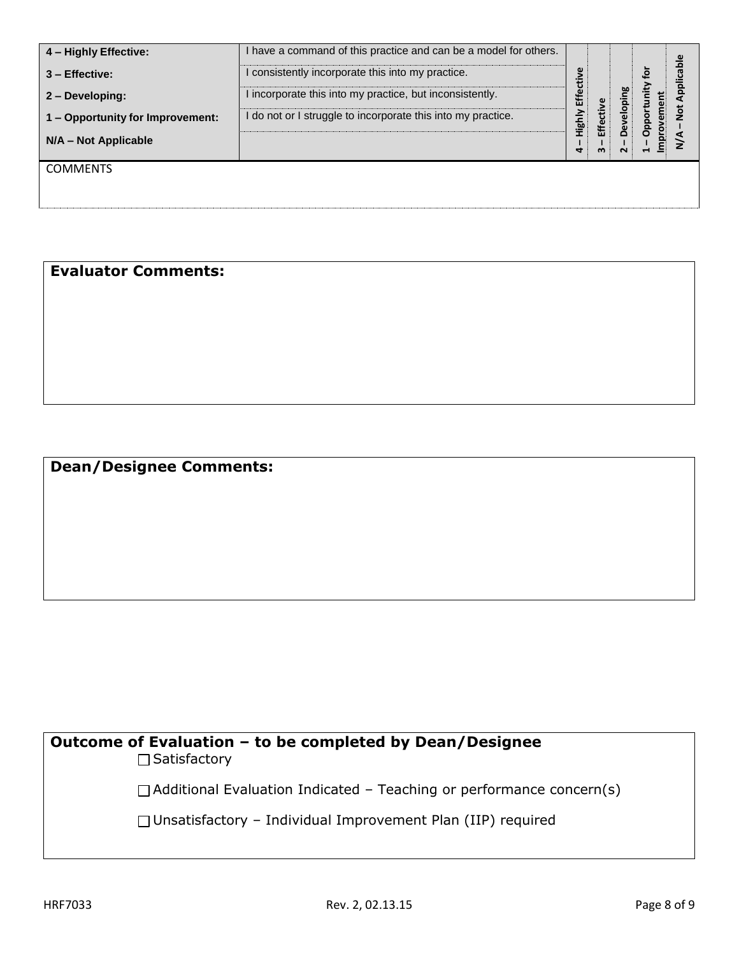| 4 - Highly Effective:            | I have a command of this practice and can be a model for others. |                         |        |        |          |
|----------------------------------|------------------------------------------------------------------|-------------------------|--------|--------|----------|
| $3 -$ Effective:                 | I consistently incorporate this into my practice.                |                         |        |        | <b>G</b> |
| 2 - Developing:                  | I incorporate this into my practice, but inconsistently.         | €                       |        |        |          |
| 1 - Opportunity for Improvement: | I do not or I struggle to incorporate this into my practice.     | <b>Ald<sup>a</sup>H</b> | Effect |        |          |
| N/A - Not Applicable             |                                                                  | ┓                       | m      | $\sim$ |          |
| <b>COMMENTS</b>                  |                                                                  |                         |        |        |          |
|                                  |                                                                  |                         |        |        |          |

## **Evaluator Comments:**

## **Dean/Designee Comments:**

# **Outcome of Evaluation – to be completed by Dean/Designee**

□ Satisfactory

 $\Box$  Additional Evaluation Indicated – Teaching or performance concern(s)

Unsatisfactory – Individual Improvement Plan (IIP) required